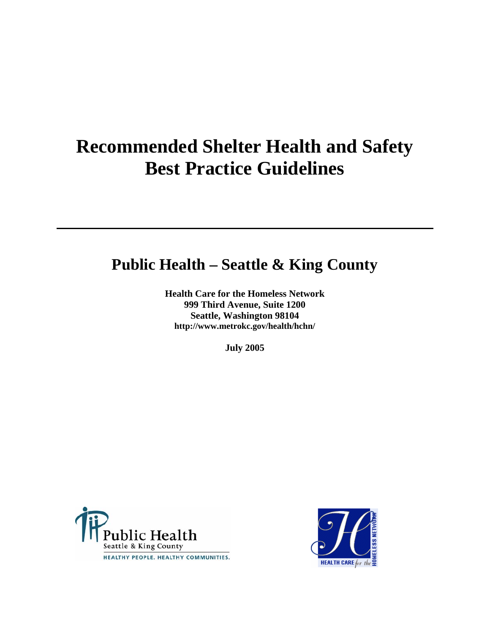# **Recommended Shelter Health and Safety Best Practice Guidelines**

## **Public Health – Seattle & King County**

**Health Care for the Homeless Network 999 Third Avenue, Suite 1200 Seattle, Washington 98104 http://www.metrokc.gov/health/hchn/** 

**July 2005** 



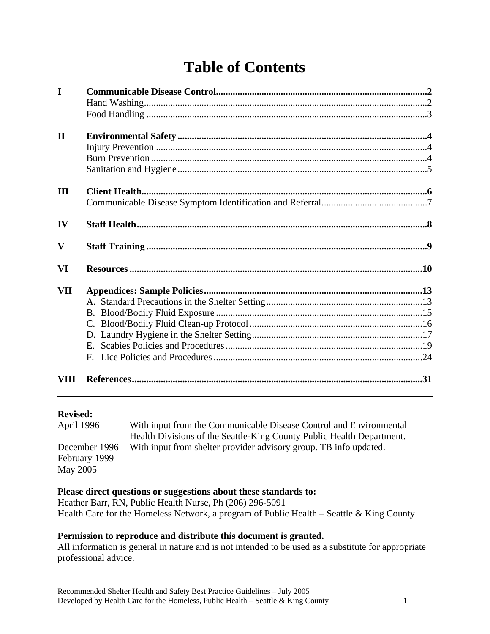# **Table of Contents**

| $\mathbf I$  |  |
|--------------|--|
| $\mathbf{I}$ |  |
| III          |  |
| IV           |  |
| $\mathbf{V}$ |  |
| VI           |  |
| <b>VII</b>   |  |
| VIII         |  |

#### **Revised:**

| April 1996    | With input from the Communicable Disease Control and Environmental    |
|---------------|-----------------------------------------------------------------------|
|               | Health Divisions of the Seattle-King County Public Health Department. |
| December 1996 | With input from shelter provider advisory group. TB info updated.     |
| February 1999 |                                                                       |
| May 2005      |                                                                       |

#### **Please direct questions or suggestions about these standards to:**

Heather Barr, RN, Public Health Nurse, Ph (206) 296-5091 Health Care for the Homeless Network, a program of Public Health – Seattle & King County

#### **Permission to reproduce and distribute this document is granted.**

All information is general in nature and is not intended to be used as a substitute for appropriate professional advice.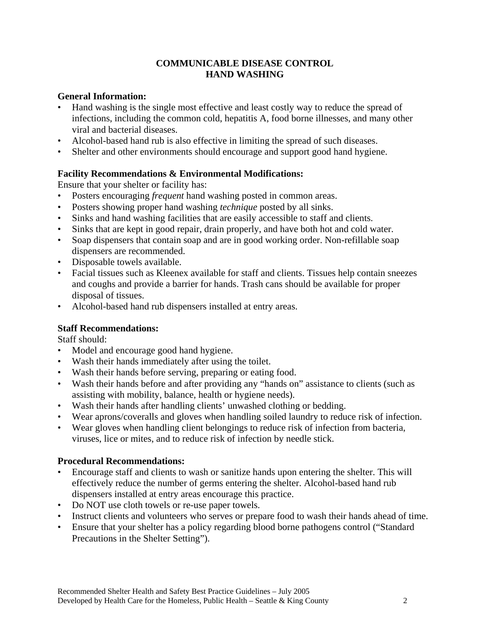#### **COMMUNICABLE DISEASE CONTROL HAND WASHING**

#### **General Information:**

- Hand washing is the single most effective and least costly way to reduce the spread of infections, including the common cold, hepatitis A, food borne illnesses, and many other viral and bacterial diseases.
- Alcohol-based hand rub is also effective in limiting the spread of such diseases.
- Shelter and other environments should encourage and support good hand hygiene.

#### **Facility Recommendations & Environmental Modifications:**

Ensure that your shelter or facility has:

- Posters encouraging *frequent* hand washing posted in common areas.
- Posters showing proper hand washing *technique* posted by all sinks.
- Sinks and hand washing facilities that are easily accessible to staff and clients.
- Sinks that are kept in good repair, drain properly, and have both hot and cold water.
- Soap dispensers that contain soap and are in good working order. Non-refillable soap dispensers are recommended.
- Disposable towels available.
- Facial tissues such as Kleenex available for staff and clients. Tissues help contain sneezes and coughs and provide a barrier for hands. Trash cans should be available for proper disposal of tissues.
- Alcohol-based hand rub dispensers installed at entry areas.

#### **Staff Recommendations:**

Staff should:

- Model and encourage good hand hygiene.
- Wash their hands immediately after using the toilet.
- Wash their hands before serving, preparing or eating food.
- Wash their hands before and after providing any "hands on" assistance to clients (such as assisting with mobility, balance, health or hygiene needs).
- Wash their hands after handling clients' unwashed clothing or bedding.
- Wear aprons/coveralls and gloves when handling soiled laundry to reduce risk of infection.
- Wear gloves when handling client belongings to reduce risk of infection from bacteria, viruses, lice or mites, and to reduce risk of infection by needle stick.

#### **Procedural Recommendations:**

- Encourage staff and clients to wash or sanitize hands upon entering the shelter. This will effectively reduce the number of germs entering the shelter. Alcohol-based hand rub dispensers installed at entry areas encourage this practice.
- Do NOT use cloth towels or re-use paper towels.
- Instruct clients and volunteers who serves or prepare food to wash their hands ahead of time.
- Ensure that your shelter has a policy regarding blood borne pathogens control ("Standard Precautions in the Shelter Setting").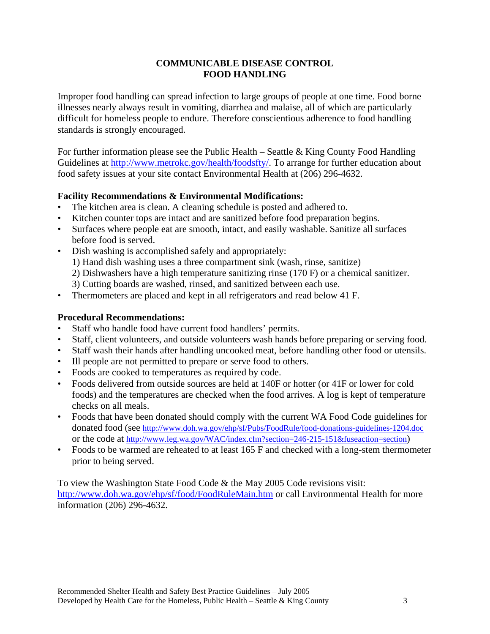#### **COMMUNICABLE DISEASE CONTROL FOOD HANDLING**

Improper food handling can spread infection to large groups of people at one time. Food borne illnesses nearly always result in vomiting, diarrhea and malaise, all of which are particularly difficult for homeless people to endure. Therefore conscientious adherence to food handling standards is strongly encouraged.

For further information please see the Public Health – Seattle & King County Food Handling Guidelines at [http://www.metrokc.gov/health/foodsfty/.](http://www.metrokc.gov/health/foodsfty/) To arrange for further education about food safety issues at your site contact Environmental Health at (206) 296-4632.

#### **Facility Recommendations & Environmental Modifications:**

- The kitchen area is clean. A cleaning schedule is posted and adhered to.
- Kitchen counter tops are intact and are sanitized before food preparation begins.
- Surfaces where people eat are smooth, intact, and easily washable. Sanitize all surfaces before food is served.
- Dish washing is accomplished safely and appropriately:
	- 1) Hand dish washing uses a three compartment sink (wash, rinse, sanitize)
	- 2) Dishwashers have a high temperature sanitizing rinse (170 F) or a chemical sanitizer.
	- 3) Cutting boards are washed, rinsed, and sanitized between each use.
- Thermometers are placed and kept in all refrigerators and read below 41 F.

#### **Procedural Recommendations:**

- Staff who handle food have current food handlers' permits.
- Staff, client volunteers, and outside volunteers wash hands before preparing or serving food.
- Staff wash their hands after handling uncooked meat, before handling other food or utensils.
- Ill people are not permitted to prepare or serve food to others.
- Foods are cooked to temperatures as required by code.
- Foods delivered from outside sources are held at 140F or hotter (or 41F or lower for cold foods) and the temperatures are checked when the food arrives. A log is kept of temperature checks on all meals.
- Foods that have been donated should comply with the current WA Food Code guidelines for donated food (see<http://www.doh.wa.gov/ehp/sf/Pubs/FoodRule/food-donations-guidelines-1204.doc> or the code at [http://www.leg.wa.gov/WAC/index.cfm?section=246-215-151&fuseaction=section\)](http://www.leg.wa.gov/WAC/index.cfm?section=246-215-151&fuseaction=section)
- Foods to be warmed are reheated to at least 165 F and checked with a long-stem thermometer prior to being served.

To view the Washington State Food Code & the May 2005 Code revisions visit: <http://www.doh.wa.gov/ehp/sf/food/FoodRuleMain.htm> or call Environmental Health for more information (206) 296-4632.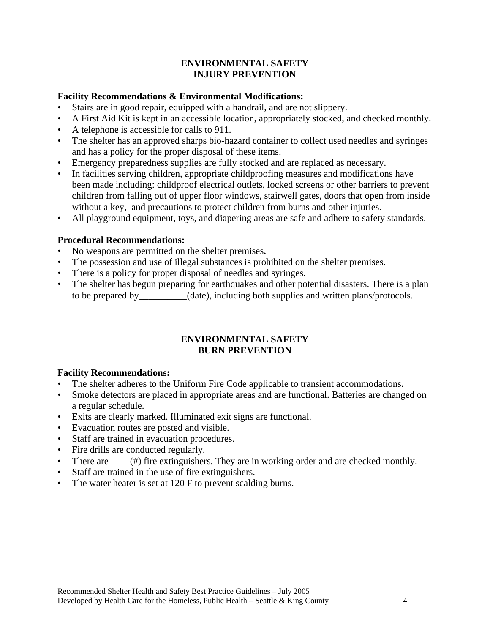#### **ENVIRONMENTAL SAFETY INJURY PREVENTION**

#### **Facility Recommendations & Environmental Modifications:**

- Stairs are in good repair, equipped with a handrail, and are not slippery.
- A First Aid Kit is kept in an accessible location, appropriately stocked, and checked monthly.
- A telephone is accessible for calls to 911.
- The shelter has an approved sharps bio-hazard container to collect used needles and syringes and has a policy for the proper disposal of these items.
- Emergency preparedness supplies are fully stocked and are replaced as necessary.
- In facilities serving children, appropriate childproofing measures and modifications have been made including: childproof electrical outlets, locked screens or other barriers to prevent children from falling out of upper floor windows, stairwell gates, doors that open from inside without a key, and precautions to protect children from burns and other injuries.
- All playground equipment, toys, and diapering areas are safe and adhere to safety standards.

#### **Procedural Recommendations:**

- No weapons are permitted on the shelter premises**.**
- The possession and use of illegal substances is prohibited on the shelter premises.
- There is a policy for proper disposal of needles and syringes.
- The shelter has begun preparing for earthquakes and other potential disasters. There is a plan to be prepared by (date), including both supplies and written plans/protocols.

#### **ENVIRONMENTAL SAFETY BURN PREVENTION**

#### **Facility Recommendations:**

- The shelter adheres to the Uniform Fire Code applicable to transient accommodations.
- Smoke detectors are placed in appropriate areas and are functional. Batteries are changed on a regular schedule.
- Exits are clearly marked. Illuminated exit signs are functional.
- Evacuation routes are posted and visible.
- Staff are trained in evacuation procedures.
- Fire drills are conducted regularly.
- There are  $\_\_\_$ (#) fire extinguishers. They are in working order and are checked monthly.
- Staff are trained in the use of fire extinguishers.
- The water heater is set at 120 F to prevent scalding burns.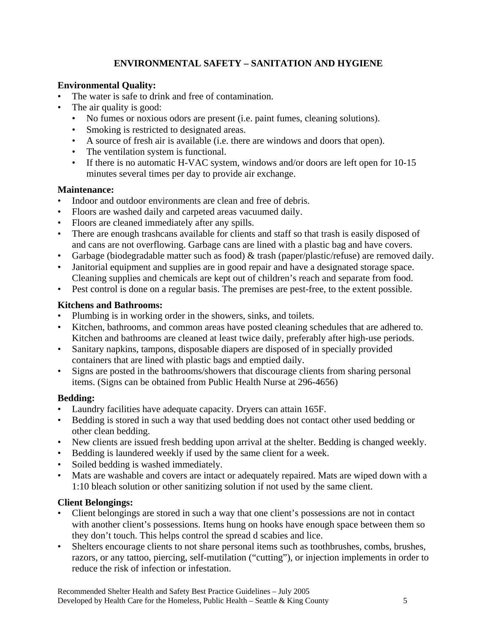## **ENVIRONMENTAL SAFETY – SANITATION AND HYGIENE**

#### **Environmental Quality:**

- The water is safe to drink and free of contamination.
- The air quality is good:
	- No fumes or noxious odors are present (i.e. paint fumes, cleaning solutions).
	- Smoking is restricted to designated areas.
	- A source of fresh air is available (i.e. there are windows and doors that open).
	- The ventilation system is functional.
	- If there is no automatic H-VAC system, windows and/or doors are left open for 10-15 minutes several times per day to provide air exchange.

#### **Maintenance:**

- Indoor and outdoor environments are clean and free of debris.
- Floors are washed daily and carpeted areas vacuumed daily.
- Floors are cleaned immediately after any spills.
- There are enough trashcans available for clients and staff so that trash is easily disposed of and cans are not overflowing. Garbage cans are lined with a plastic bag and have covers.
- Garbage (biodegradable matter such as food) & trash (paper/plastic/refuse) are removed daily.
- Janitorial equipment and supplies are in good repair and have a designated storage space. Cleaning supplies and chemicals are kept out of children's reach and separate from food.
- Pest control is done on a regular basis. The premises are pest-free, to the extent possible.

## **Kitchens and Bathrooms:**

- Plumbing is in working order in the showers, sinks, and toilets.
- Kitchen, bathrooms, and common areas have posted cleaning schedules that are adhered to. Kitchen and bathrooms are cleaned at least twice daily, preferably after high-use periods.
- Sanitary napkins, tampons, disposable diapers are disposed of in specially provided containers that are lined with plastic bags and emptied daily.
- Signs are posted in the bathrooms/showers that discourage clients from sharing personal items. (Signs can be obtained from Public Health Nurse at 296-4656)

## **Bedding:**

- Laundry facilities have adequate capacity. Dryers can attain 165F.
- Bedding is stored in such a way that used bedding does not contact other used bedding or other clean bedding.
- New clients are issued fresh bedding upon arrival at the shelter. Bedding is changed weekly.
- Bedding is laundered weekly if used by the same client for a week.
- Soiled bedding is washed immediately.
- Mats are washable and covers are intact or adequately repaired. Mats are wiped down with a 1:10 bleach solution or other sanitizing solution if not used by the same client.

## **Client Belongings:**

- Client belongings are stored in such a way that one client's possessions are not in contact with another client's possessions. Items hung on hooks have enough space between them so they don't touch. This helps control the spread d scabies and lice.
- Shelters encourage clients to not share personal items such as toothbrushes, combs, brushes, razors, or any tattoo, piercing, self-mutilation ("cutting"), or injection implements in order to reduce the risk of infection or infestation.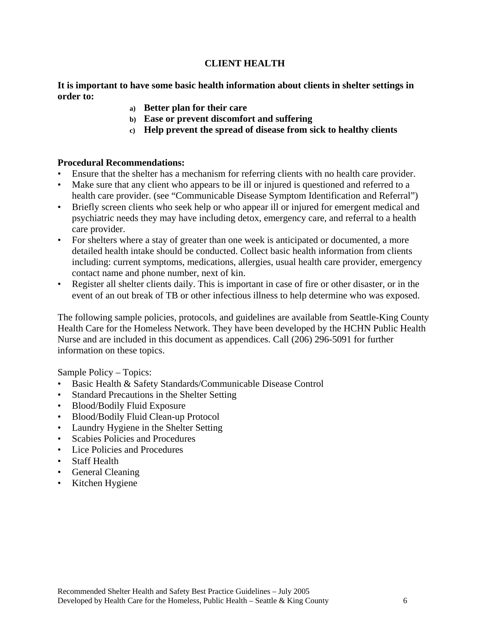#### **CLIENT HEALTH**

**It is important to have some basic health information about clients in shelter settings in order to:** 

- **a) Better plan for their care**
- **b) Ease or prevent discomfort and suffering**
- **c) Help prevent the spread of disease from sick to healthy clients**

#### **Procedural Recommendations:**

- Ensure that the shelter has a mechanism for referring clients with no health care provider.
- Make sure that any client who appears to be ill or injured is questioned and referred to a health care provider. (see "Communicable Disease Symptom Identification and Referral")
- Briefly screen clients who seek help or who appear ill or injured for emergent medical and psychiatric needs they may have including detox, emergency care, and referral to a health care provider.
- For shelters where a stay of greater than one week is anticipated or documented, a more detailed health intake should be conducted. Collect basic health information from clients including: current symptoms, medications, allergies, usual health care provider, emergency contact name and phone number, next of kin.
- Register all shelter clients daily. This is important in case of fire or other disaster, or in the event of an out break of TB or other infectious illness to help determine who was exposed.

The following sample policies, protocols, and guidelines are available from Seattle-King County Health Care for the Homeless Network. They have been developed by the HCHN Public Health Nurse and are included in this document as appendices. Call (206) 296-5091 for further information on these topics.

Sample Policy – Topics:

- Basic Health & Safety Standards/Communicable Disease Control
- Standard Precautions in the Shelter Setting
- Blood/Bodily Fluid Exposure
- Blood/Bodily Fluid Clean-up Protocol
- Laundry Hygiene in the Shelter Setting
- Scabies Policies and Procedures
- Lice Policies and Procedures
- Staff Health
- General Cleaning
- Kitchen Hygiene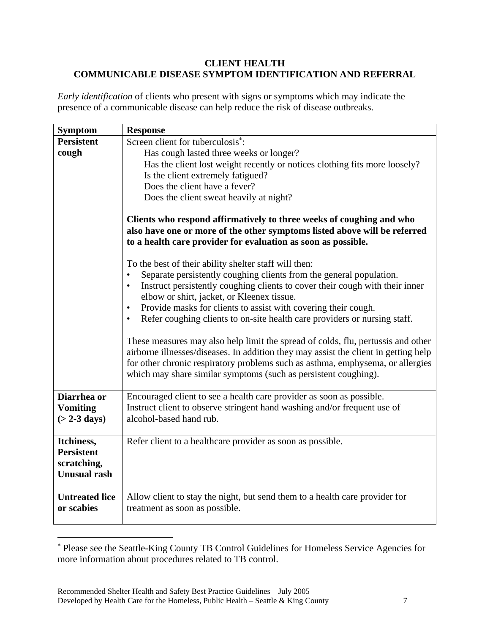#### **CLIENT HEALTH COMMUNICABLE DISEASE SYMPTOM IDENTIFICATION AND REFERRAL**

*Early identification* of clients who present with signs or symptoms which may indicate the presence of a communicable disease can help reduce the risk of disease outbreaks.

| <b>Symptom</b>        | <b>Response</b>                                                                                                                                                                                                                                                                                                              |
|-----------------------|------------------------------------------------------------------------------------------------------------------------------------------------------------------------------------------------------------------------------------------------------------------------------------------------------------------------------|
| <b>Persistent</b>     | Screen client for tuberculosis <sup>*</sup> :                                                                                                                                                                                                                                                                                |
| cough                 | Has cough lasted three weeks or longer?                                                                                                                                                                                                                                                                                      |
|                       | Has the client lost weight recently or notices clothing fits more loosely?                                                                                                                                                                                                                                                   |
|                       | Is the client extremely fatigued?                                                                                                                                                                                                                                                                                            |
|                       | Does the client have a fever?                                                                                                                                                                                                                                                                                                |
|                       | Does the client sweat heavily at night?                                                                                                                                                                                                                                                                                      |
|                       | Clients who respond affirmatively to three weeks of coughing and who<br>also have one or more of the other symptoms listed above will be referred<br>to a health care provider for evaluation as soon as possible.                                                                                                           |
|                       | To the best of their ability shelter staff will then:                                                                                                                                                                                                                                                                        |
|                       | Separate persistently coughing clients from the general population.                                                                                                                                                                                                                                                          |
|                       | Instruct persistently coughing clients to cover their cough with their inner                                                                                                                                                                                                                                                 |
|                       | elbow or shirt, jacket, or Kleenex tissue.                                                                                                                                                                                                                                                                                   |
|                       | Provide masks for clients to assist with covering their cough.<br>$\bullet$                                                                                                                                                                                                                                                  |
|                       | Refer coughing clients to on-site health care providers or nursing staff.<br>$\bullet$                                                                                                                                                                                                                                       |
|                       | These measures may also help limit the spread of colds, flu, pertussis and other<br>airborne illnesses/diseases. In addition they may assist the client in getting help<br>for other chronic respiratory problems such as asthma, emphysema, or allergies<br>which may share similar symptoms (such as persistent coughing). |
| Diarrhea or           | Encouraged client to see a health care provider as soon as possible.                                                                                                                                                                                                                                                         |
| <b>Vomiting</b>       | Instruct client to observe stringent hand washing and/or frequent use of                                                                                                                                                                                                                                                     |
| $($ > 2-3 days)       | alcohol-based hand rub.                                                                                                                                                                                                                                                                                                      |
| Itchiness,            | Refer client to a healthcare provider as soon as possible.                                                                                                                                                                                                                                                                   |
| <b>Persistent</b>     |                                                                                                                                                                                                                                                                                                                              |
| scratching,           |                                                                                                                                                                                                                                                                                                                              |
| <b>Unusual rash</b>   |                                                                                                                                                                                                                                                                                                                              |
|                       |                                                                                                                                                                                                                                                                                                                              |
| <b>Untreated lice</b> | Allow client to stay the night, but send them to a health care provider for                                                                                                                                                                                                                                                  |
| or scabies            | treatment as soon as possible.                                                                                                                                                                                                                                                                                               |
|                       |                                                                                                                                                                                                                                                                                                                              |

<span id="page-7-0"></span><sup>∗</sup> Please see the Seattle-King County TB Control Guidelines for Homeless Service Agencies for more information about procedures related to TB control.

 $\overline{a}$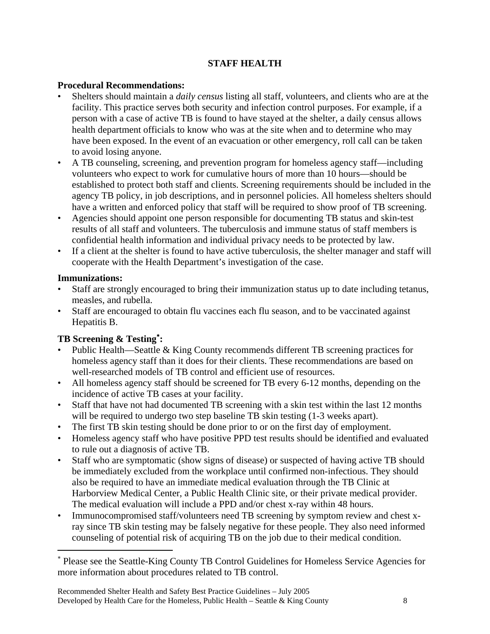## **STAFF HEALTH**

#### **Procedural Recommendations:**

- Shelters should maintain a *daily census* listing all staff, volunteers, and clients who are at the facility. This practice serves both security and infection control purposes. For example, if a person with a case of active TB is found to have stayed at the shelter, a daily census allows health department officials to know who was at the site when and to determine who may have been exposed. In the event of an evacuation or other emergency, roll call can be taken to avoid losing anyone.
- A TB counseling, screening, and prevention program for homeless agency staff—including volunteers who expect to work for cumulative hours of more than 10 hours—should be established to protect both staff and clients. Screening requirements should be included in the agency TB policy, in job descriptions, and in personnel policies. All homeless shelters should have a written and enforced policy that staff will be required to show proof of TB screening.
- Agencies should appoint one person responsible for documenting TB status and skin-test results of all staff and volunteers. The tuberculosis and immune status of staff members is confidential health information and individual privacy needs to be protected by law.
- If a client at the shelter is found to have active tuberculosis, the shelter manager and staff will cooperate with the Health Department's investigation of the case.

#### **Immunizations:**

 $\overline{a}$ 

- Staff are strongly encouraged to bring their immunization status up to date including tetanus, measles, and rubella.
- Staff are encouraged to obtain flu vaccines each flu season, and to be vaccinated against Hepatitis B.

## **TB Screening & Testing**[∗](#page-8-0) **:**

- Public Health—Seattle & King County recommends different TB screening practices for homeless agency staff than it does for their clients. These recommendations are based on well-researched models of TB control and efficient use of resources.
- All homeless agency staff should be screened for TB every 6-12 months, depending on the incidence of active TB cases at your facility.
- Staff that have not had documented TB screening with a skin test within the last 12 months will be required to undergo two step baseline TB skin testing  $(1-3$  weeks apart).
- The first TB skin testing should be done prior to or on the first day of employment.
- Homeless agency staff who have positive PPD test results should be identified and evaluated to rule out a diagnosis of active TB.
- Staff who are symptomatic (show signs of disease) or suspected of having active TB should be immediately excluded from the workplace until confirmed non-infectious. They should also be required to have an immediate medical evaluation through the TB Clinic at Harborview Medical Center, a Public Health Clinic site, or their private medical provider. The medical evaluation will include a PPD and/or chest x-ray within 48 hours.
- Immunocompromised staff/volunteers need TB screening by symptom review and chest xray since TB skin testing may be falsely negative for these people. They also need informed counseling of potential risk of acquiring TB on the job due to their medical condition.

<span id="page-8-0"></span><sup>∗</sup> Please see the Seattle-King County TB Control Guidelines for Homeless Service Agencies for more information about procedures related to TB control.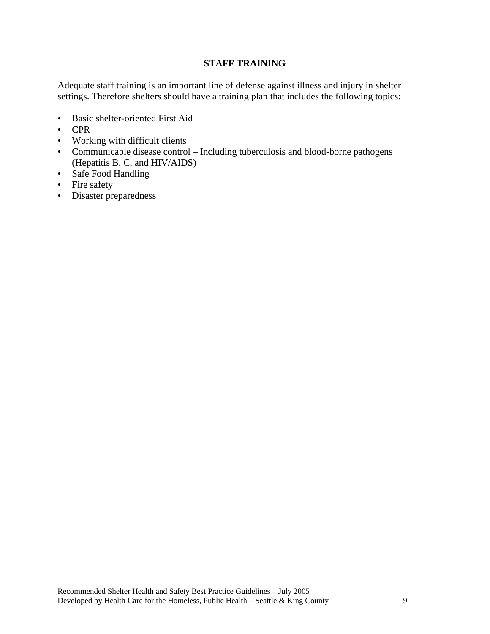#### **STAFF TRAINING**

Adequate staff training is an important line of defense against illness and injury in shelter settings. Therefore shelters should have a training plan that includes the following topics:

- Basic shelter-oriented First Aid
- CPR
- Working with difficult clients
- Communicable disease control Including tuberculosis and blood-borne pathogens (Hepatitis B, C, and HIV/AIDS)
- Safe Food Handling
- Fire safety
- Disaster preparedness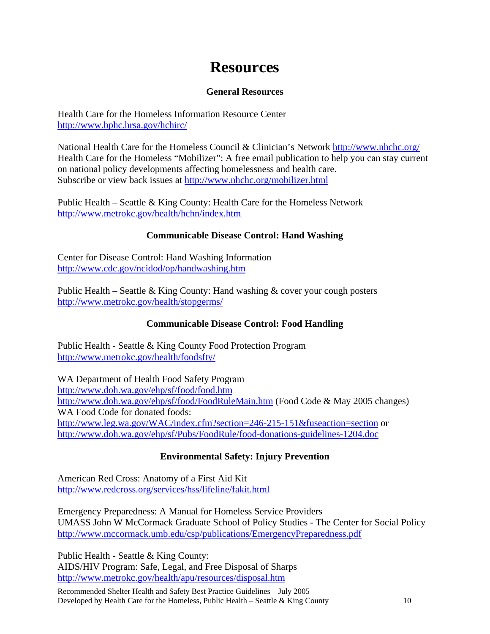## **Resources**

#### **General Resources**

Health Care for the Homeless Information Resource Center http://www.bphc.hrsa.gov/hchirc/

National Health Care for the Homeless Council & Clinician's Network <http://www.nhchc.org/> Health Care for the Homeless "Mobilizer": A free email publication to help you can stay current on national policy developments affecting homelessness and health care. Subscribe or view back issues at <http://www.nhchc.org/mobilizer.html>

Public Health – Seattle & King County: Health Care for the Homeless Network http://www.metrokc.gov/health/hchn/index.htm

## **Communicable Disease Control: Hand Washing**

Center for Disease Control: Hand Washing Information <http://www.cdc.gov/ncidod/op/handwashing.htm>

Public Health – Seattle & King County: Hand washing  $&$  cover your cough posters <http://www.metrokc.gov/health/stopgerms/>

## **Communicable Disease Control: Food Handling**

Public Health - Seattle & King County Food Protection Program <http://www.metrokc.gov/health/foodsfty/>

WA Department of Health Food Safety Program <http://www.doh.wa.gov/ehp/sf/food/food.htm> <http://www.doh.wa.gov/ehp/sf/food/FoodRuleMain.htm> (Food Code & May 2005 changes) WA Food Code for donated foods: <http://www.leg.wa.gov/WAC/index.cfm?section=246-215-151&fuseaction=section>or <http://www.doh.wa.gov/ehp/sf/Pubs/FoodRule/food-donations-guidelines-1204.doc>

## **Environmental Safety: Injury Prevention**

American Red Cross: Anatomy of a First Aid Kit <http://www.redcross.org/services/hss/lifeline/fakit.html>

Emergency Preparedness: A Manual for Homeless Service Providers UMASS John W McCormack Graduate School of Policy Studies - The Center for Social Policy <http://www.mccormack.umb.edu/csp/publications/EmergencyPreparedness.pdf>

Public Health - Seattle & King County: AIDS/HIV Program: Safe, Legal, and Free Disposal of Sharps <http://www.metrokc.gov/health/apu/resources/disposal.htm>

Recommended Shelter Health and Safety Best Practice Guidelines – July 2005 Developed by Health Care for the Homeless, Public Health – Seattle & King County 10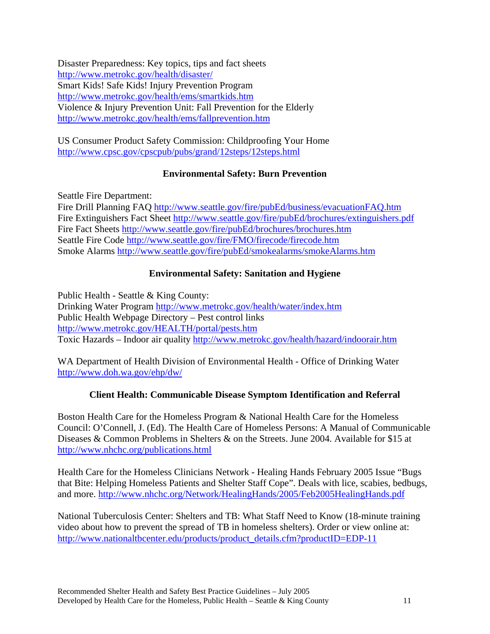Disaster Preparedness: Key topics, tips and fact sheets <http://www.metrokc.gov/health/disaster/> Smart Kids! Safe Kids! Injury Prevention Program <http://www.metrokc.gov/health/ems/smartkids.htm> Violence & Injury Prevention Unit: Fall Prevention for the Elderly <http://www.metrokc.gov/health/ems/fallprevention.htm>

US Consumer Product Safety Commission: Childproofing Your Home <http://www.cpsc.gov/cpscpub/pubs/grand/12steps/12steps.html>

## **Environmental Safety: Burn Prevention**

Seattle Fire Department:

Fire Drill Planning FAQ <http://www.seattle.gov/fire/pubEd/business/evacuationFAQ.htm> Fire Extinguishers Fact Sheet http://www.seattle.gov/fire/pubEd/brochures/extinguishers.pdf Fire Fact Sheets<http://www.seattle.gov/fire/pubEd/brochures/brochures.htm> Seattle Fire Code<http://www.seattle.gov/fire/FMO/firecode/firecode.htm> Smoke Alarms <http://www.seattle.gov/fire/pubEd/smokealarms/smokeAlarms.htm>

## **Environmental Safety: Sanitation and Hygiene**

Public Health - Seattle & King County: Drinking Water Program <http://www.metrokc.gov/health/water/index.htm> Public Health Webpage Directory – Pest control links <http://www.metrokc.gov/HEALTH/portal/pests.htm> Toxic Hazards – Indoor air quality<http://www.metrokc.gov/health/hazard/indoorair.htm>

WA Department of Health Division of Environmental Health - Office of Drinking Water <http://www.doh.wa.gov/ehp/dw/>

## **Client Health: Communicable Disease Symptom Identification and Referral**

Boston Health Care for the Homeless Program & National Health Care for the Homeless Council: O'Connell, J. (Ed). The Health Care of Homeless Persons: A Manual of Communicable Diseases & Common Problems in Shelters & on the Streets. June 2004. Available for \$15 at <http://www.nhchc.org/publications.html>

Health Care for the Homeless Clinicians Network - Healing Hands February 2005 Issue "Bugs that Bite: Helping Homeless Patients and Shelter Staff Cope". Deals with lice, scabies, bedbugs, and more. <http://www.nhchc.org/Network/HealingHands/2005/Feb2005HealingHands.pdf>

National Tuberculosis Center: Shelters and TB: What Staff Need to Know (18-minute training video about how to prevent the spread of TB in homeless shelters). Order or view online at: http://www.nationaltbcenter.edu/products/product\_details.cfm?productID=EDP-11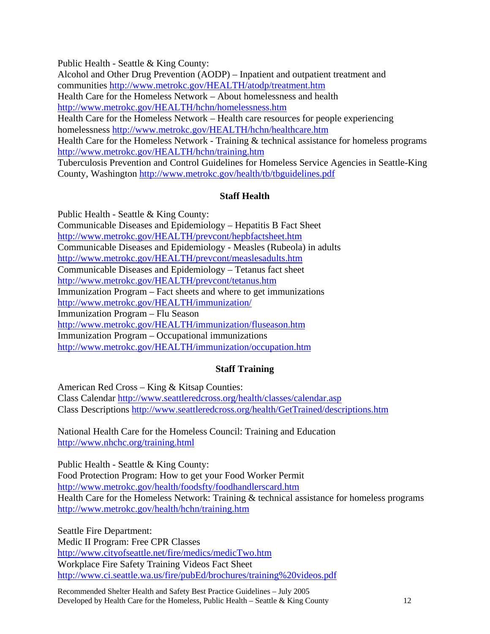Public Health - Seattle & King County:

Alcohol and Other Drug Prevention (AODP) – Inpatient and outpatient treatment and communities<http://www.metrokc.gov/HEALTH/atodp/treatment.htm>

Health Care for the Homeless Network – About homelessness and health

<http://www.metrokc.gov/HEALTH/hchn/homelessness.htm>

Health Care for the Homeless Network – Health care resources for people experiencing homelessness<http://www.metrokc.gov/HEALTH/hchn/healthcare.htm>

Health Care for the Homeless Network - Training & technical assistance for homeless programs <http://www.metrokc.gov/HEALTH/hchn/training.htm>

Tuberculosis Prevention and Control Guidelines for Homeless Service Agencies in Seattle-King County, Washington<http://www.metrokc.gov/health/tb/tbguidelines.pdf>

## **Staff Health**

Public Health - Seattle & King County: Communicable Diseases and Epidemiology – Hepatitis B Fact Sheet <http://www.metrokc.gov/HEALTH/prevcont/hepbfactsheet.htm> Communicable Diseases and Epidemiology - Measles (Rubeola) in adults <http://www.metrokc.gov/HEALTH/prevcont/measlesadults.htm> Communicable Diseases and Epidemiology – Tetanus fact sheet <http://www.metrokc.gov/HEALTH/prevcont/tetanus.htm> Immunization Program – Fact sheets and where to get immunizations <http://www.metrokc.gov/HEALTH/immunization/> Immunization Program – Flu Season <http://www.metrokc.gov/HEALTH/immunization/fluseason.htm> Immunization Program – Occupational immunizations <http://www.metrokc.gov/HEALTH/immunization/occupation.htm>

## **Staff Training**

American Red Cross – King & Kitsap Counties: Class Calendar<http://www.seattleredcross.org/health/classes/calendar.asp> Class Descriptions <http://www.seattleredcross.org/health/GetTrained/descriptions.htm>

National Health Care for the Homeless Council: Training and Education <http://www.nhchc.org/training.html>

Public Health - Seattle & King County: Food Protection Program: How to get your Food Worker Permit <http://www.metrokc.gov/health/foodsfty/foodhandlerscard.htm> Health Care for the Homeless Network: Training & technical assistance for homeless programs <http://www.metrokc.gov/health/hchn/training.htm>

Seattle Fire Department: Medic II Program: Free CPR Classes <http://www.cityofseattle.net/fire/medics/medicTwo.htm> Workplace Fire Safety Training Videos Fact Sheet [http://www.ci.seattle.wa.us/fire/pubEd/brochures/training%20videos.pdf](http://www.ci.seattle.wa.us/fire/pubEd/brochures/training videos.pdf) 

Recommended Shelter Health and Safety Best Practice Guidelines – July 2005 Developed by Health Care for the Homeless, Public Health – Seattle & King County 12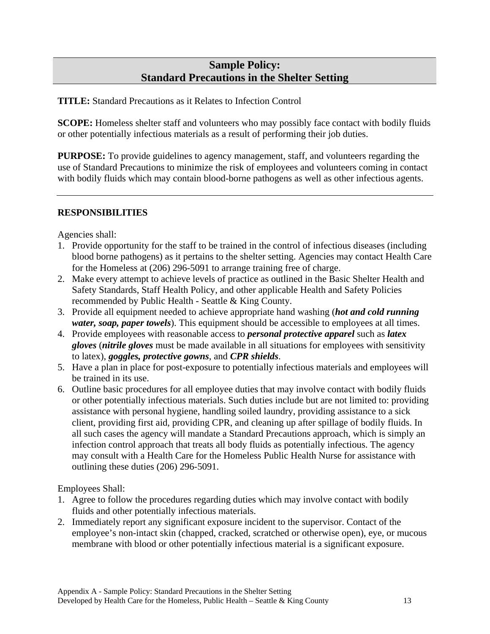## **Sample Policy: Standard Precautions in the Shelter Setting**

**TITLE:** Standard Precautions as it Relates to Infection Control

**SCOPE:** Homeless shelter staff and volunteers who may possibly face contact with bodily fluids or other potentially infectious materials as a result of performing their job duties.

**PURPOSE:** To provide guidelines to agency management, staff, and volunteers regarding the use of Standard Precautions to minimize the risk of employees and volunteers coming in contact with bodily fluids which may contain blood-borne pathogens as well as other infectious agents.

#### **RESPONSIBILITIES**

Agencies shall:

- 1. Provide opportunity for the staff to be trained in the control of infectious diseases (including blood borne pathogens) as it pertains to the shelter setting. Agencies may contact Health Care for the Homeless at (206) 296-5091 to arrange training free of charge.
- 2. Make every attempt to achieve levels of practice as outlined in the Basic Shelter Health and Safety Standards, Staff Health Policy, and other applicable Health and Safety Policies recommended by Public Health - Seattle & King County.
- 3. Provide all equipment needed to achieve appropriate hand washing (*hot and cold running water, soap, paper towels*). This equipment should be accessible to employees at all times.
- 4. Provide employees with reasonable access to *personal protective apparel* such as *latex gloves* (*nitrile gloves* must be made available in all situations for employees with sensitivity to latex), *goggles, protective gowns*, and *CPR shields*.
- 5. Have a plan in place for post-exposure to potentially infectious materials and employees will be trained in its use.
- 6. Outline basic procedures for all employee duties that may involve contact with bodily fluids or other potentially infectious materials. Such duties include but are not limited to: providing assistance with personal hygiene, handling soiled laundry, providing assistance to a sick client, providing first aid, providing CPR, and cleaning up after spillage of bodily fluids. In all such cases the agency will mandate a Standard Precautions approach, which is simply an infection control approach that treats all body fluids as potentially infectious. The agency may consult with a Health Care for the Homeless Public Health Nurse for assistance with outlining these duties (206) 296-5091.

Employees Shall:

- 1. Agree to follow the procedures regarding duties which may involve contact with bodily fluids and other potentially infectious materials.
- 2. Immediately report any significant exposure incident to the supervisor. Contact of the employee's non-intact skin (chapped, cracked, scratched or otherwise open), eye, or mucous membrane with blood or other potentially infectious material is a significant exposure.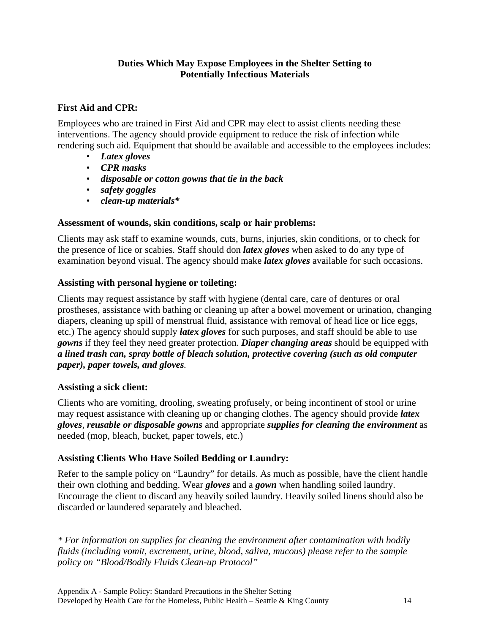#### **Duties Which May Expose Employees in the Shelter Setting to Potentially Infectious Materials**

#### **First Aid and CPR:**

Employees who are trained in First Aid and CPR may elect to assist clients needing these interventions. The agency should provide equipment to reduce the risk of infection while rendering such aid. Equipment that should be available and accessible to the employees includes:

- *Latex gloves*
- *CPR masks*
- *disposable or cotton gowns that tie in the back*
- *safety goggles*
- *clean-up materials\**

#### **Assessment of wounds, skin conditions, scalp or hair problems:**

Clients may ask staff to examine wounds, cuts, burns, injuries, skin conditions, or to check for the presence of lice or scabies. Staff should don *latex gloves* when asked to do any type of examination beyond visual. The agency should make *latex gloves* available for such occasions.

#### **Assisting with personal hygiene or toileting:**

Clients may request assistance by staff with hygiene (dental care, care of dentures or oral prostheses, assistance with bathing or cleaning up after a bowel movement or urination, changing diapers, cleaning up spill of menstrual fluid, assistance with removal of head lice or lice eggs, etc.) The agency should supply *latex gloves* for such purposes, and staff should be able to use *gowns* if they feel they need greater protection. *Diaper changing areas* should be equipped with *a lined trash can, spray bottle of bleach solution, protective covering (such as old computer paper), paper towels, and gloves.*

#### **Assisting a sick client:**

Clients who are vomiting, drooling, sweating profusely, or being incontinent of stool or urine may request assistance with cleaning up or changing clothes. The agency should provide *latex gloves, reusable or disposable gowns* and appropriate *supplies for cleaning the environment* as needed (mop, bleach, bucket, paper towels, etc.)

#### **Assisting Clients Who Have Soiled Bedding or Laundry:**

Refer to the sample policy on "Laundry" for details. As much as possible, have the client handle their own clothing and bedding. Wear *gloves* and a *gown* when handling soiled laundry. Encourage the client to discard any heavily soiled laundry. Heavily soiled linens should also be discarded or laundered separately and bleached.

*\* For information on supplies for cleaning the environment after contamination with bodily fluids (including vomit, excrement, urine, blood, saliva, mucous) please refer to the sample policy on "Blood/Bodily Fluids Clean-up Protocol"*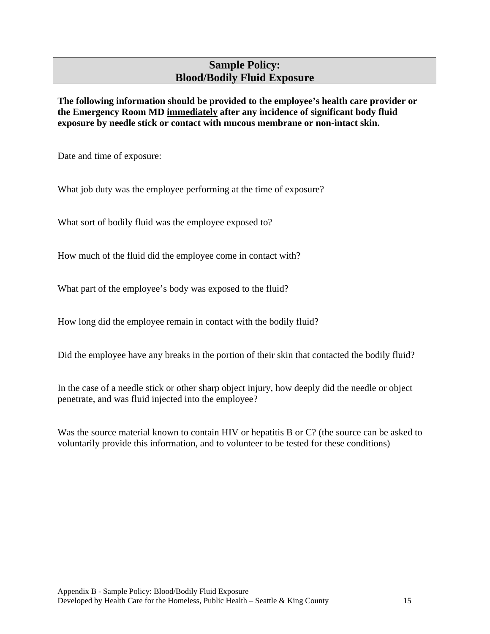## **Sample Policy: Blood/Bodily Fluid Exposure**

**The following information should be provided to the employee's health care provider or the Emergency Room MD immediately after any incidence of significant body fluid exposure by needle stick or contact with mucous membrane or non-intact skin.** 

Date and time of exposure:

What job duty was the employee performing at the time of exposure?

What sort of bodily fluid was the employee exposed to?

How much of the fluid did the employee come in contact with?

What part of the employee's body was exposed to the fluid?

How long did the employee remain in contact with the bodily fluid?

Did the employee have any breaks in the portion of their skin that contacted the bodily fluid?

In the case of a needle stick or other sharp object injury, how deeply did the needle or object penetrate, and was fluid injected into the employee?

Was the source material known to contain HIV or hepatitis B or C? (the source can be asked to voluntarily provide this information, and to volunteer to be tested for these conditions)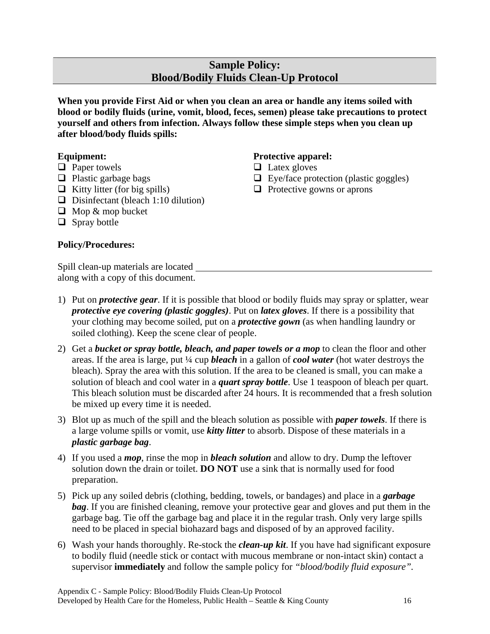## **Sample Policy: Blood/Bodily Fluids Clean-Up Protocol**

**When you provide First Aid or when you clean an area or handle any items soiled with blood or bodily fluids (urine, vomit, blood, feces, semen) please take precautions to protect yourself and others from infection. Always follow these simple steps when you clean up after blood/body fluids spills:** 

> **Protective apparel:**   $\Box$  Latex gloves

 $\Box$  Eye/face protection (plastic goggles)

 $\Box$  Protective gowns or aprons

#### **Equipment:**

- $\Box$  Paper towels
- $\Box$  Plastic garbage bags
- $\Box$  Kitty litter (for big spills)
- $\Box$  Disinfectant (bleach 1:10 dilution)
- $\Box$  Mop & mop bucket
- $\Box$  Spray bottle

#### **Policy/Procedures:**

Spill clean-up materials are located along with a copy of this document.

- 1) Put on *protective gear*. If it is possible that blood or bodily fluids may spray or splatter, wear *protective eye covering (plastic goggles)*. Put on *latex gloves*. If there is a possibility that your clothing may become soiled, put on a *protective gown* (as when handling laundry or soiled clothing). Keep the scene clear of people.
- 2) Get a *bucket or spray bottle, bleach, and paper towels or a mop* to clean the floor and other areas. If the area is large, put ¼ cup *bleach* in a gallon of *cool water* (hot water destroys the bleach). Spray the area with this solution. If the area to be cleaned is small, you can make a solution of bleach and cool water in a *quart spray bottle*. Use 1 teaspoon of bleach per quart. This bleach solution must be discarded after 24 hours. It is recommended that a fresh solution be mixed up every time it is needed.
- 3) Blot up as much of the spill and the bleach solution as possible with *paper towels*. If there is a large volume spills or vomit, use *kitty litter* to absorb. Dispose of these materials in a *plastic garbage bag*.
- 4) If you used a *mop*, rinse the mop in *bleach solution* and allow to dry. Dump the leftover solution down the drain or toilet. **DO NOT** use a sink that is normally used for food preparation.
- 5) Pick up any soiled debris (clothing, bedding, towels, or bandages) and place in a *garbage bag*. If you are finished cleaning, remove your protective gear and gloves and put them in the garbage bag. Tie off the garbage bag and place it in the regular trash. Only very large spills need to be placed in special biohazard bags and disposed of by an approved facility.
- 6) Wash your hands thoroughly. Re-stock the *clean-up kit*. If you have had significant exposure to bodily fluid (needle stick or contact with mucous membrane or non-intact skin) contact a supervisor **immediately** and follow the sample policy for *"blood/bodily fluid exposure".*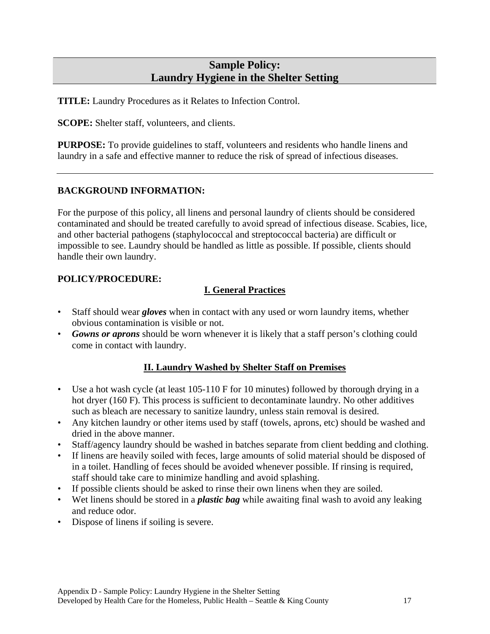## **Sample Policy: Laundry Hygiene in the Shelter Setting**

**TITLE:** Laundry Procedures as it Relates to Infection Control.

**SCOPE:** Shelter staff, volunteers, and clients.

**PURPOSE:** To provide guidelines to staff, volunteers and residents who handle linens and laundry in a safe and effective manner to reduce the risk of spread of infectious diseases.

#### **BACKGROUND INFORMATION:**

For the purpose of this policy, all linens and personal laundry of clients should be considered contaminated and should be treated carefully to avoid spread of infectious disease. Scabies, lice, and other bacterial pathogens (staphylococcal and streptococcal bacteria) are difficult or impossible to see. Laundry should be handled as little as possible. If possible, clients should handle their own laundry.

## **POLICY/PROCEDURE:**

## **I. General Practices**

- Staff should wear *gloves* when in contact with any used or worn laundry items, whether obvious contamination is visible or not.
- *Gowns or aprons* should be worn whenever it is likely that a staff person's clothing could come in contact with laundry.

#### **II. Laundry Washed by Shelter Staff on Premises**

- Use a hot wash cycle (at least 105-110 F for 10 minutes) followed by thorough drying in a hot dryer (160 F). This process is sufficient to decontaminate laundry. No other additives such as bleach are necessary to sanitize laundry, unless stain removal is desired.
- Any kitchen laundry or other items used by staff (towels, aprons, etc) should be washed and dried in the above manner.
- Staff/agency laundry should be washed in batches separate from client bedding and clothing.
- If linens are heavily soiled with feces, large amounts of solid material should be disposed of in a toilet. Handling of feces should be avoided whenever possible. If rinsing is required, staff should take care to minimize handling and avoid splashing.
- If possible clients should be asked to rinse their own linens when they are soiled.
- Wet linens should be stored in a *plastic bag* while awaiting final wash to avoid any leaking and reduce odor.
- Dispose of linens if soiling is severe.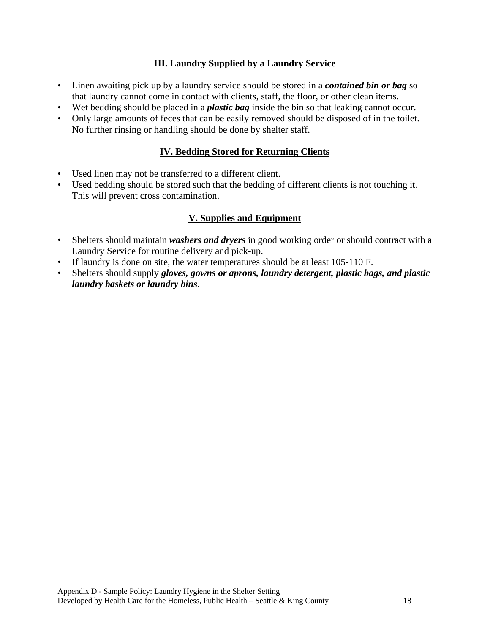## **III. Laundry Supplied by a Laundry Service**

- Linen awaiting pick up by a laundry service should be stored in a *contained bin or bag* so that laundry cannot come in contact with clients, staff, the floor, or other clean items.
- Wet bedding should be placed in a *plastic bag* inside the bin so that leaking cannot occur.
- Only large amounts of feces that can be easily removed should be disposed of in the toilet. No further rinsing or handling should be done by shelter staff.

## **IV. Bedding Stored for Returning Clients**

- Used linen may not be transferred to a different client.
- Used bedding should be stored such that the bedding of different clients is not touching it. This will prevent cross contamination.

## **V. Supplies and Equipment**

- Shelters should maintain *washers and dryers* in good working order or should contract with a Laundry Service for routine delivery and pick-up.
- If laundry is done on site, the water temperatures should be at least 105-110 F.
- Shelters should supply *gloves, gowns or aprons, laundry detergent, plastic bags, and plastic laundry baskets or laundry bins*.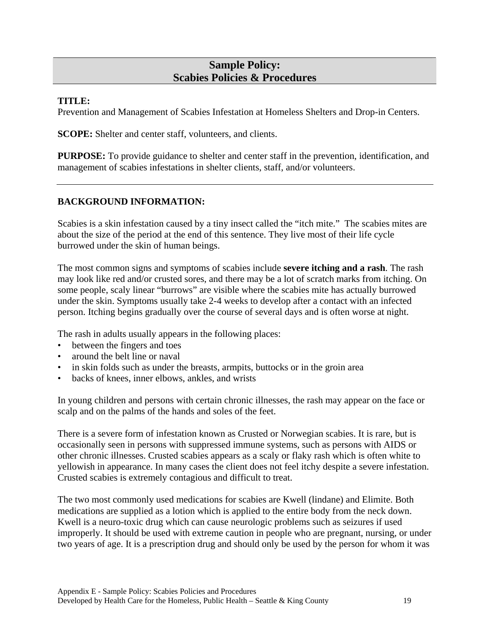## **Sample Policy: Scabies Policies & Procedures**

#### **TITLE:**

Prevention and Management of Scabies Infestation at Homeless Shelters and Drop-in Centers.

**SCOPE:** Shelter and center staff, volunteers, and clients.

**PURPOSE:** To provide guidance to shelter and center staff in the prevention, identification, and management of scabies infestations in shelter clients, staff, and/or volunteers.

#### **BACKGROUND INFORMATION:**

Scabies is a skin infestation caused by a tiny insect called the "itch mite." The scabies mites are about the size of the period at the end of this sentence. They live most of their life cycle burrowed under the skin of human beings.

The most common signs and symptoms of scabies include **severe itching and a rash**. The rash may look like red and/or crusted sores, and there may be a lot of scratch marks from itching. On some people, scaly linear "burrows" are visible where the scabies mite has actually burrowed under the skin. Symptoms usually take 2-4 weeks to develop after a contact with an infected person. Itching begins gradually over the course of several days and is often worse at night.

The rash in adults usually appears in the following places:

- between the fingers and toes
- around the belt line or naval
- in skin folds such as under the breasts, armpits, buttocks or in the groin area
- backs of knees, inner elbows, ankles, and wrists

In young children and persons with certain chronic illnesses, the rash may appear on the face or scalp and on the palms of the hands and soles of the feet.

There is a severe form of infestation known as Crusted or Norwegian scabies. It is rare, but is occasionally seen in persons with suppressed immune systems, such as persons with AIDS or other chronic illnesses. Crusted scabies appears as a scaly or flaky rash which is often white to yellowish in appearance. In many cases the client does not feel itchy despite a severe infestation. Crusted scabies is extremely contagious and difficult to treat.

The two most commonly used medications for scabies are Kwell (lindane) and Elimite. Both medications are supplied as a lotion which is applied to the entire body from the neck down. Kwell is a neuro-toxic drug which can cause neurologic problems such as seizures if used improperly. It should be used with extreme caution in people who are pregnant, nursing, or under two years of age. It is a prescription drug and should only be used by the person for whom it was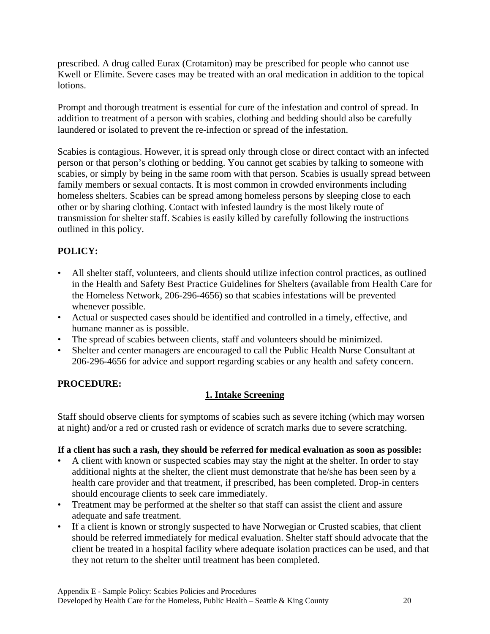prescribed. A drug called Eurax (Crotamiton) may be prescribed for people who cannot use Kwell or Elimite. Severe cases may be treated with an oral medication in addition to the topical lotions.

Prompt and thorough treatment is essential for cure of the infestation and control of spread. In addition to treatment of a person with scabies, clothing and bedding should also be carefully laundered or isolated to prevent the re-infection or spread of the infestation.

Scabies is contagious. However, it is spread only through close or direct contact with an infected person or that person's clothing or bedding. You cannot get scabies by talking to someone with scabies, or simply by being in the same room with that person. Scabies is usually spread between family members or sexual contacts. It is most common in crowded environments including homeless shelters. Scabies can be spread among homeless persons by sleeping close to each other or by sharing clothing. Contact with infested laundry is the most likely route of transmission for shelter staff. Scabies is easily killed by carefully following the instructions outlined in this policy.

## **POLICY:**

- All shelter staff, volunteers, and clients should utilize infection control practices, as outlined in the Health and Safety Best Practice Guidelines for Shelters (available from Health Care for the Homeless Network, 206-296-4656) so that scabies infestations will be prevented whenever possible.
- Actual or suspected cases should be identified and controlled in a timely, effective, and humane manner as is possible.
- The spread of scabies between clients, staff and volunteers should be minimized.
- Shelter and center managers are encouraged to call the Public Health Nurse Consultant at 206-296-4656 for advice and support regarding scabies or any health and safety concern.

## **PROCEDURE:**

## **1. Intake Screening**

Staff should observe clients for symptoms of scabies such as severe itching (which may worsen at night) and/or a red or crusted rash or evidence of scratch marks due to severe scratching.

#### **If a client has such a rash, they should be referred for medical evaluation as soon as possible:**

- A client with known or suspected scabies may stay the night at the shelter. In order to stay additional nights at the shelter, the client must demonstrate that he/she has been seen by a health care provider and that treatment, if prescribed, has been completed. Drop-in centers should encourage clients to seek care immediately.
- Treatment may be performed at the shelter so that staff can assist the client and assure adequate and safe treatment.
- If a client is known or strongly suspected to have Norwegian or Crusted scabies, that client should be referred immediately for medical evaluation. Shelter staff should advocate that the client be treated in a hospital facility where adequate isolation practices can be used, and that they not return to the shelter until treatment has been completed.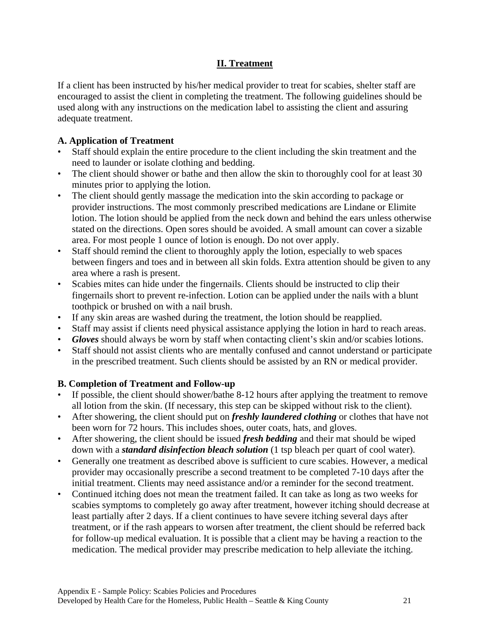## **II. Treatment**

If a client has been instructed by his/her medical provider to treat for scabies, shelter staff are encouraged to assist the client in completing the treatment. The following guidelines should be used along with any instructions on the medication label to assisting the client and assuring adequate treatment.

## **A. Application of Treatment**

- Staff should explain the entire procedure to the client including the skin treatment and the need to launder or isolate clothing and bedding.
- The client should shower or bathe and then allow the skin to thoroughly cool for at least 30 minutes prior to applying the lotion.
- The client should gently massage the medication into the skin according to package or provider instructions. The most commonly prescribed medications are Lindane or Elimite lotion. The lotion should be applied from the neck down and behind the ears unless otherwise stated on the directions. Open sores should be avoided. A small amount can cover a sizable area. For most people 1 ounce of lotion is enough. Do not over apply.
- Staff should remind the client to thoroughly apply the lotion, especially to web spaces between fingers and toes and in between all skin folds. Extra attention should be given to any area where a rash is present.
- Scabies mites can hide under the fingernails. Clients should be instructed to clip their fingernails short to prevent re-infection. Lotion can be applied under the nails with a blunt toothpick or brushed on with a nail brush.
- If any skin areas are washed during the treatment, the lotion should be reapplied.
- Staff may assist if clients need physical assistance applying the lotion in hard to reach areas.
- *Gloves* should always be worn by staff when contacting client's skin and/or scabies lotions.
- Staff should not assist clients who are mentally confused and cannot understand or participate in the prescribed treatment. Such clients should be assisted by an RN or medical provider.

## **B. Completion of Treatment and Follow-up**

- If possible, the client should shower/bathe 8-12 hours after applying the treatment to remove all lotion from the skin. (If necessary, this step can be skipped without risk to the client).
- After showering, the client should put on *freshly laundered clothing* or clothes that have not been worn for 72 hours. This includes shoes, outer coats, hats, and gloves.
- After showering, the client should be issued *fresh bedding* and their mat should be wiped down with a *standard disinfection bleach solution* (1 tsp bleach per quart of cool water).
- Generally one treatment as described above is sufficient to cure scabies. However, a medical provider may occasionally prescribe a second treatment to be completed 7-10 days after the initial treatment. Clients may need assistance and/or a reminder for the second treatment.
- Continued itching does not mean the treatment failed. It can take as long as two weeks for scabies symptoms to completely go away after treatment, however itching should decrease at least partially after 2 days. If a client continues to have severe itching several days after treatment, or if the rash appears to worsen after treatment, the client should be referred back for follow-up medical evaluation. It is possible that a client may be having a reaction to the medication. The medical provider may prescribe medication to help alleviate the itching.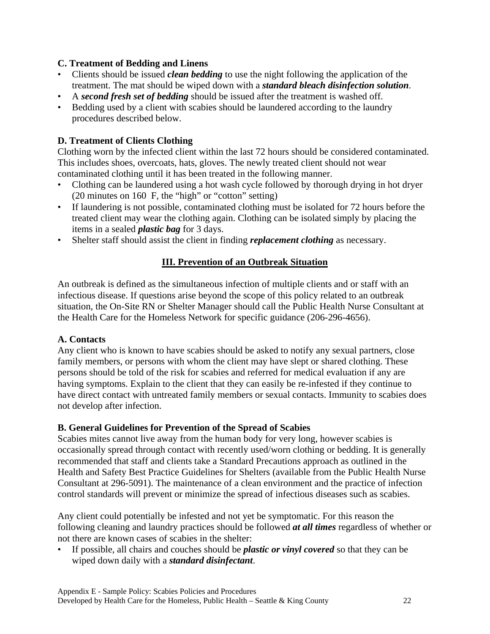#### **C. Treatment of Bedding and Linens**

- Clients should be issued *clean bedding* to use the night following the application of the treatment. The mat should be wiped down with a *standard bleach disinfection solution*.
- A *second fresh set of bedding* should be issued after the treatment is washed off.
- Bedding used by a client with scabies should be laundered according to the laundry procedures described below.

#### **D. Treatment of Clients Clothing**

Clothing worn by the infected client within the last 72 hours should be considered contaminated. This includes shoes, overcoats, hats, gloves. The newly treated client should not wear contaminated clothing until it has been treated in the following manner.

- Clothing can be laundered using a hot wash cycle followed by thorough drying in hot dryer (20 minutes on 160 F, the "high" or "cotton" setting)
- If laundering is not possible, contaminated clothing must be isolated for 72 hours before the treated client may wear the clothing again. Clothing can be isolated simply by placing the items in a sealed *plastic bag* for 3 days.
- Shelter staff should assist the client in finding *replacement clothing* as necessary.

#### **III. Prevention of an Outbreak Situation**

An outbreak is defined as the simultaneous infection of multiple clients and or staff with an infectious disease. If questions arise beyond the scope of this policy related to an outbreak situation, the On-Site RN or Shelter Manager should call the Public Health Nurse Consultant at the Health Care for the Homeless Network for specific guidance (206-296-4656).

#### **A. Contacts**

Any client who is known to have scabies should be asked to notify any sexual partners, close family members, or persons with whom the client may have slept or shared clothing. These persons should be told of the risk for scabies and referred for medical evaluation if any are having symptoms. Explain to the client that they can easily be re-infested if they continue to have direct contact with untreated family members or sexual contacts. Immunity to scabies does not develop after infection.

#### **B. General Guidelines for Prevention of the Spread of Scabies**

Scabies mites cannot live away from the human body for very long, however scabies is occasionally spread through contact with recently used/worn clothing or bedding. It is generally recommended that staff and clients take a Standard Precautions approach as outlined in the Health and Safety Best Practice Guidelines for Shelters (available from the Public Health Nurse Consultant at 296-5091). The maintenance of a clean environment and the practice of infection control standards will prevent or minimize the spread of infectious diseases such as scabies.

Any client could potentially be infested and not yet be symptomatic. For this reason the following cleaning and laundry practices should be followed *at all times* regardless of whether or not there are known cases of scabies in the shelter:

• If possible, all chairs and couches should be *plastic or vinyl covered* so that they can be wiped down daily with a *standard disinfectant*.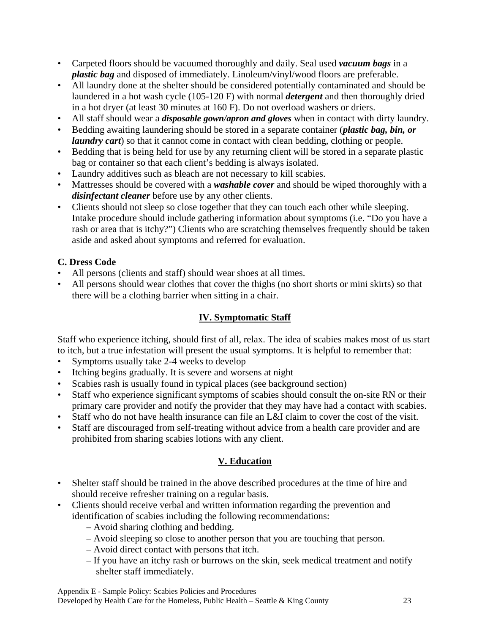- Carpeted floors should be vacuumed thoroughly and daily. Seal used *vacuum bags* in a *plastic bag* and disposed of immediately. Linoleum/vinyl/wood floors are preferable.
- All laundry done at the shelter should be considered potentially contaminated and should be laundered in a hot wash cycle (105-120 F) with normal *detergent* and then thoroughly dried in a hot dryer (at least 30 minutes at 160 F). Do not overload washers or driers.
- All staff should wear a *disposable gown/apron and gloves* when in contact with dirty laundry.
- Bedding awaiting laundering should be stored in a separate container (*plastic bag, bin, or laundry cart*) so that it cannot come in contact with clean bedding, clothing or people.
- Bedding that is being held for use by any returning client will be stored in a separate plastic bag or container so that each client's bedding is always isolated.
- Laundry additives such as bleach are not necessary to kill scabies.
- Mattresses should be covered with a *washable cover* and should be wiped thoroughly with a *disinfectant cleaner* before use by any other clients.
- Clients should not sleep so close together that they can touch each other while sleeping. Intake procedure should include gathering information about symptoms (i.e. "Do you have a rash or area that is itchy?") Clients who are scratching themselves frequently should be taken aside and asked about symptoms and referred for evaluation.

## **C. Dress Code**

- All persons (clients and staff) should wear shoes at all times.
- All persons should wear clothes that cover the thighs (no short shorts or mini skirts) so that there will be a clothing barrier when sitting in a chair.

## **IV. Symptomatic Staff**

Staff who experience itching, should first of all, relax. The idea of scabies makes most of us start to itch, but a true infestation will present the usual symptoms. It is helpful to remember that:

- Symptoms usually take 2-4 weeks to develop
- Itching begins gradually. It is severe and worsens at night
- Scabies rash is usually found in typical places (see background section)
- Staff who experience significant symptoms of scabies should consult the on-site RN or their primary care provider and notify the provider that they may have had a contact with scabies.
- Staff who do not have health insurance can file an L&I claim to cover the cost of the visit.
- Staff are discouraged from self-treating without advice from a health care provider and are prohibited from sharing scabies lotions with any client.

## **V. Education**

- Shelter staff should be trained in the above described procedures at the time of hire and should receive refresher training on a regular basis.
- Clients should receive verbal and written information regarding the prevention and identification of scabies including the following recommendations:
	- Avoid sharing clothing and bedding.
	- Avoid sleeping so close to another person that you are touching that person.
	- Avoid direct contact with persons that itch.
	- If you have an itchy rash or burrows on the skin, seek medical treatment and notify shelter staff immediately.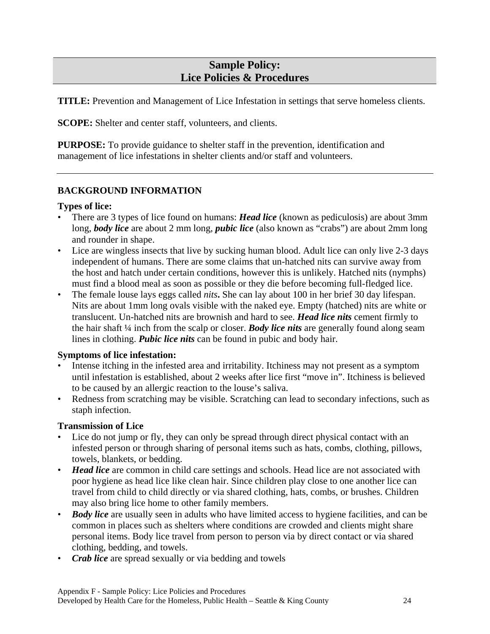## **Sample Policy: Lice Policies & Procedures**

**TITLE:** Prevention and Management of Lice Infestation in settings that serve homeless clients.

**SCOPE:** Shelter and center staff, volunteers, and clients.

**PURPOSE:** To provide guidance to shelter staff in the prevention, identification and management of lice infestations in shelter clients and/or staff and volunteers.

## **BACKGROUND INFORMATION**

#### **Types of lice:**

- There are 3 types of lice found on humans: *Head lice* (known as pediculosis) are about 3mm long, *body lice* are about 2 mm long, *pubic lice* (also known as "crabs") are about 2mm long and rounder in shape.
- Lice are wingless insects that live by sucking human blood. Adult lice can only live 2-3 days independent of humans. There are some claims that un-hatched nits can survive away from the host and hatch under certain conditions, however this is unlikely. Hatched nits (nymphs) must find a blood meal as soon as possible or they die before becoming full-fledged lice.
- The female louse lays eggs called *nits***.** She can lay about 100 in her brief 30 day lifespan. Nits are about 1mm long ovals visible with the naked eye. Empty (hatched) nits are white or translucent. Un-hatched nits are brownish and hard to see. *Head lice nits* cement firmly to the hair shaft ¼ inch from the scalp or closer. *Body lice nits* are generally found along seam lines in clothing. *Pubic lice nits* can be found in pubic and body hair.

#### **Symptoms of lice infestation:**

- Intense itching in the infested area and irritability. Itchiness may not present as a symptom until infestation is established, about 2 weeks after lice first "move in". Itchiness is believed to be caused by an allergic reaction to the louse's saliva.
- Redness from scratching may be visible. Scratching can lead to secondary infections, such as staph infection.

#### **Transmission of Lice**

- Lice do not jump or fly, they can only be spread through direct physical contact with an infested person or through sharing of personal items such as hats, combs, clothing, pillows, towels, blankets, or bedding.
- *Head lice* are common in child care settings and schools. Head lice are not associated with poor hygiene as head lice like clean hair. Since children play close to one another lice can travel from child to child directly or via shared clothing, hats, combs, or brushes. Children may also bring lice home to other family members.
- *Body lice* are usually seen in adults who have limited access to hygiene facilities, and can be common in places such as shelters where conditions are crowded and clients might share personal items. Body lice travel from person to person via by direct contact or via shared clothing, bedding, and towels.
- *Crab lice* are spread sexually or via bedding and towels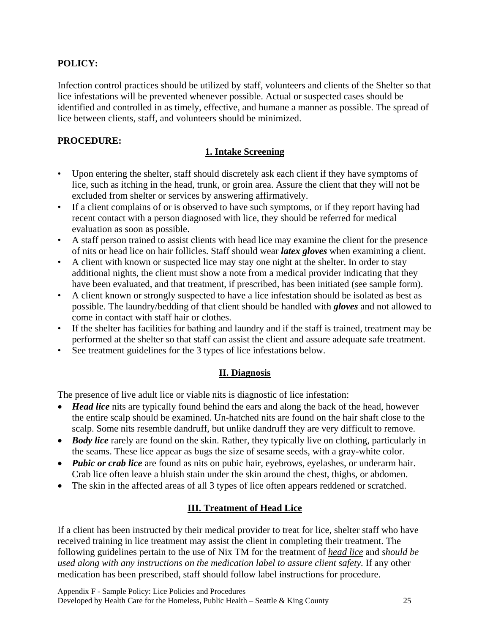## **POLICY:**

Infection control practices should be utilized by staff, volunteers and clients of the Shelter so that lice infestations will be prevented whenever possible. Actual or suspected cases should be identified and controlled in as timely, effective, and humane a manner as possible. The spread of lice between clients, staff, and volunteers should be minimized.

#### **PROCEDURE:**

## **1. Intake Screening**

- Upon entering the shelter, staff should discretely ask each client if they have symptoms of lice, such as itching in the head, trunk, or groin area. Assure the client that they will not be excluded from shelter or services by answering affirmatively.
- If a client complains of or is observed to have such symptoms, or if they report having had recent contact with a person diagnosed with lice, they should be referred for medical evaluation as soon as possible.
- A staff person trained to assist clients with head lice may examine the client for the presence of nits or head lice on hair follicles. Staff should wear *latex gloves* when examining a client.
- A client with known or suspected lice may stay one night at the shelter. In order to stay additional nights, the client must show a note from a medical provider indicating that they have been evaluated, and that treatment, if prescribed, has been initiated (see sample form).
- A client known or strongly suspected to have a lice infestation should be isolated as best as possible. The laundry/bedding of that client should be handled with *gloves* and not allowed to come in contact with staff hair or clothes.
- If the shelter has facilities for bathing and laundry and if the staff is trained, treatment may be performed at the shelter so that staff can assist the client and assure adequate safe treatment.
- See treatment guidelines for the 3 types of lice infestations below.

## **II. Diagnosis**

The presence of live adult lice or viable nits is diagnostic of lice infestation:

- *Head lice* nits are typically found behind the ears and along the back of the head, however the entire scalp should be examined. Un-hatched nits are found on the hair shaft close to the scalp. Some nits resemble dandruff, but unlike dandruff they are very difficult to remove.
- *Body lice* rarely are found on the skin. Rather, they typically live on clothing, particularly in the seams. These lice appear as bugs the size of sesame seeds, with a gray-white color.
- *Pubic or crab lice* are found as nits on pubic hair, eyebrows, eyelashes, or underarm hair. Crab lice often leave a bluish stain under the skin around the chest, thighs, or abdomen.
- The skin in the affected areas of all 3 types of lice often appears reddened or scratched.

## **III. Treatment of Head Lice**

If a client has been instructed by their medical provider to treat for lice, shelter staff who have received training in lice treatment may assist the client in completing their treatment. The following guidelines pertain to the use of Nix TM for the treatment of *head lice* and *should be used along with any instructions on the medication label to assure client safety.* If any other medication has been prescribed, staff should follow label instructions for procedure.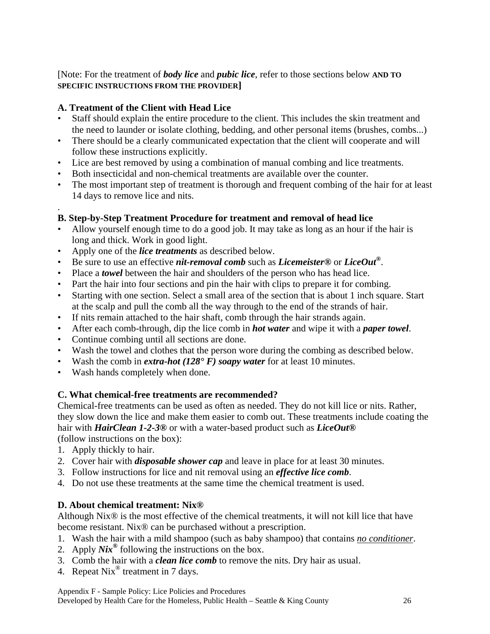## [Note: For the treatment of *body lice* and *pubic lice*, refer to those sections below **AND TO SPECIFIC INSTRUCTIONS FROM THE PROVIDER]**

## **A. Treatment of the Client with Head Lice**

- Staff should explain the entire procedure to the client. This includes the skin treatment and the need to launder or isolate clothing, bedding, and other personal items (brushes, combs...)
- There should be a clearly communicated expectation that the client will cooperate and will follow these instructions explicitly.
- Lice are best removed by using a combination of manual combing and lice treatments.
- Both insecticidal and non-chemical treatments are available over the counter.
- The most important step of treatment is thorough and frequent combing of the hair for at least 14 days to remove lice and nits.

#### . **B. Step-by-Step Treatment Procedure for treatment and removal of head lice**

- Allow yourself enough time to do a good job. It may take as long as an hour if the hair is long and thick. Work in good light.
- Apply one of the *lice treatments* as described below.
- Be sure to use an effective *nit-removal comb* such as *Licemeister®* or *LiceOut®*.
- Place a *towel* between the hair and shoulders of the person who has head lice.
- Part the hair into four sections and pin the hair with clips to prepare it for combing.
- Starting with one section. Select a small area of the section that is about 1 inch square. Start at the scalp and pull the comb all the way through to the end of the strands of hair.
- If nits remain attached to the hair shaft, comb through the hair strands again.
- After each comb-through, dip the lice comb in *hot water* and wipe it with a *paper towel*.
- Continue combing until all sections are done.
- Wash the towel and clothes that the person wore during the combing as described below.
- Wash the comb in *extra-hot (128° F) soapy water* for at least 10 minutes.
- Wash hands completely when done.

## **C. What chemical-free treatments are recommended?**

Chemical-free treatments can be used as often as needed. They do not kill lice or nits. Rather, they slow down the lice and make them easier to comb out. These treatments include coating the hair with *HairClean 1-2-3®* or with a water-based product such as *LiceOut®* (follow instructions on the box):

- 1. Apply thickly to hair.
- 2. Cover hair with *disposable shower cap* and leave in place for at least 30 minutes.
- 3. Follow instructions for lice and nit removal using an *effective lice comb*.
- 4. Do not use these treatments at the same time the chemical treatment is used.

## **D. About chemical treatment: Nix®**

Although Nix® is the most effective of the chemical treatments, it will not kill lice that have become resistant. Nix® can be purchased without a prescription.

- 1. Wash the hair with a mild shampoo (such as baby shampoo) that contains *no conditioner*.
- 2. Apply *Nix®* following the instructions on the box.
- 3. Comb the hair with a *clean lice comb* to remove the nits. Dry hair as usual.
- 4. Repeat Nix® treatment in 7 days.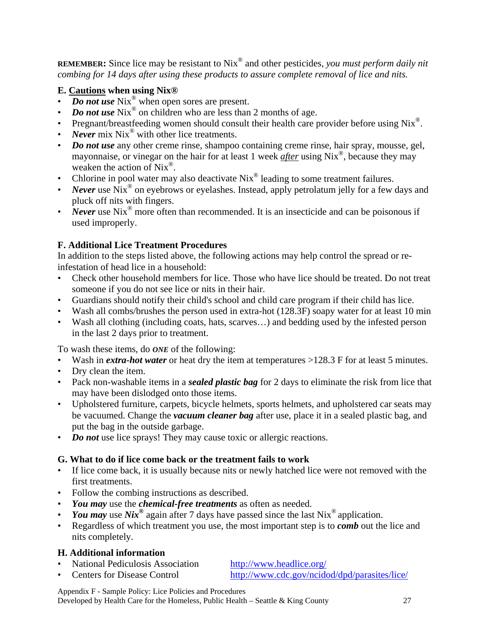**REMEMBER:** Since lice may be resistant to Nix® and other pesticides, *you must perform daily nit combing for 14 days after using these products to assure complete removal of lice and nits.*

## **E. Cautions when using Nix®**

- *Do not use* Nix<sup>®</sup> when open sores are present.
- *Do not use* Nix<sup>®</sup> on children who are less than 2 months of age.
- Pregnant/breastfeeding women should consult their health care provider before using Nix<sup>®</sup>.
- *Never* mix Nix<sup>®</sup> with other lice treatments.
- *Do not use* any other creme rinse, shampoo containing creme rinse, hair spray, mousse, gel, mayonnaise, or vinegar on the hair for at least 1 week *after* using Nix®, because they may weaken the action of  $Nix^{\circledR}$ .
- Chlorine in pool water may also deactivate Nix<sup>®</sup> leading to some treatment failures.
- *Never* use Nix<sup>®</sup> on eyebrows or eyelashes. Instead, apply petrolatum jelly for a few days and pluck off nits with fingers.
- *Never* use Nix<sup>®</sup> more often than recommended. It is an insecticide and can be poisonous if used improperly.

## **F. Additional Lice Treatment Procedures**

In addition to the steps listed above, the following actions may help control the spread or reinfestation of head lice in a household:

- Check other household members for lice. Those who have lice should be treated. Do not treat someone if you do not see lice or nits in their hair.
- Guardians should notify their child's school and child care program if their child has lice.
- Wash all combs/brushes the person used in extra-hot (128.3F) soapy water for at least 10 min
- Wash all clothing (including coats, hats, scarves...) and bedding used by the infested person in the last 2 days prior to treatment.

To wash these items, do *ONE* of the following:

- Wash in *extra-hot water* or heat dry the item at temperatures >128.3 F for at least 5 minutes.
- Dry clean the item.
- Pack non-washable items in a *sealed plastic bag* for 2 days to eliminate the risk from lice that may have been dislodged onto those items.
- Upholstered furniture, carpets, bicycle helmets, sports helmets, and upholstered car seats may be vacuumed. Change the *vacuum cleaner bag* after use, place it in a sealed plastic bag, and put the bag in the outside garbage.
- *Do not* use lice sprays! They may cause toxic or allergic reactions.

## **G. What to do if lice come back or the treatment fails to work**

- If lice come back, it is usually because nits or newly hatched lice were not removed with the first treatments.
- Follow the combing instructions as described.
- *You may* use the *chemical-free treatments* as often as needed.
- *You may* use *Nix*<sup>®</sup> again after 7 days have passed since the last Nix<sup>®</sup> application.
- Regardless of which treatment you use, the most important step is to *comb* out the lice and nits completely.

## **H. Additional information**

- National Pediculosis Association <http://www.headlice.org/>
- Centers for Disease Control <http://www.cdc.gov/ncidod/dpd/parasites/lice/>

Appendix F - Sample Policy: Lice Policies and Procedures

Developed by Health Care for the Homeless, Public Health – Seattle & King County 27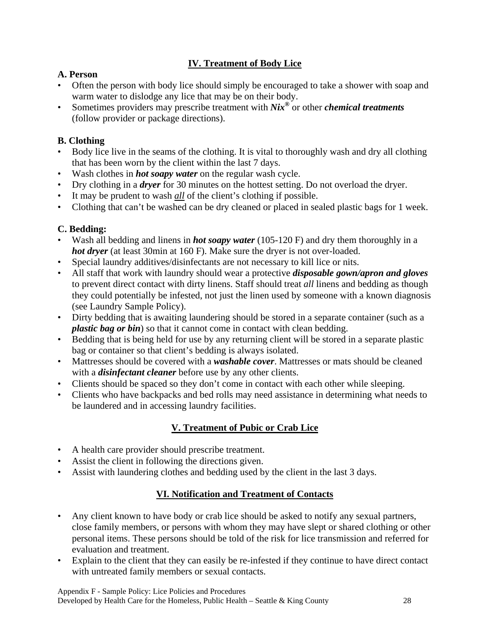## **IV. Treatment of Body Lice**

## **A. Person**

- Often the person with body lice should simply be encouraged to take a shower with soap and warm water to dislodge any lice that may be on their body.
- Sometimes providers may prescribe treatment with *Nix®* or other *chemical treatments* (follow provider or package directions).

## **B. Clothing**

- Body lice live in the seams of the clothing. It is vital to thoroughly wash and dry all clothing that has been worn by the client within the last 7 days.
- Wash clothes in *hot soapy water* on the regular wash cycle.
- Dry clothing in a *dryer* for 30 minutes on the hottest setting. Do not overload the dryer.
- It may be prudent to wash *all* of the client's clothing if possible.
- Clothing that can't be washed can be dry cleaned or placed in sealed plastic bags for 1 week.

## **C. Bedding:**

- Wash all bedding and linens in *hot soapy water* (105-120 F) and dry them thoroughly in a *hot dryer* (at least 30min at 160 F). Make sure the dryer is not over-loaded.
- Special laundry additives/disinfectants are not necessary to kill lice or nits.
- All staff that work with laundry should wear a protective *disposable gown/apron and gloves* to prevent direct contact with dirty linens. Staff should treat *all* linens and bedding as though they could potentially be infested, not just the linen used by someone with a known diagnosis (see Laundry Sample Policy).
- Dirty bedding that is awaiting laundering should be stored in a separate container (such as a *plastic bag or bin*) so that it cannot come in contact with clean bedding.
- Bedding that is being held for use by any returning client will be stored in a separate plastic bag or container so that client's bedding is always isolated.
- Mattresses should be covered with a *washable cover*. Mattresses or mats should be cleaned with a *disinfectant cleaner* before use by any other clients.
- Clients should be spaced so they don't come in contact with each other while sleeping.
- Clients who have backpacks and bed rolls may need assistance in determining what needs to be laundered and in accessing laundry facilities.

## **V. Treatment of Pubic or Crab Lice**

- A health care provider should prescribe treatment.
- Assist the client in following the directions given.
- Assist with laundering clothes and bedding used by the client in the last 3 days.

## **VI. Notification and Treatment of Contacts**

- Any client known to have body or crab lice should be asked to notify any sexual partners, close family members, or persons with whom they may have slept or shared clothing or other personal items. These persons should be told of the risk for lice transmission and referred for evaluation and treatment.
- Explain to the client that they can easily be re-infested if they continue to have direct contact with untreated family members or sexual contacts.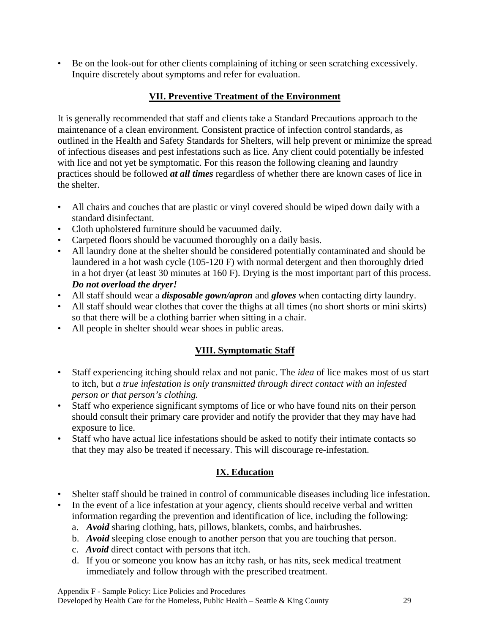• Be on the look-out for other clients complaining of itching or seen scratching excessively. Inquire discretely about symptoms and refer for evaluation.

## **VII. Preventive Treatment of the Environment**

It is generally recommended that staff and clients take a Standard Precautions approach to the maintenance of a clean environment. Consistent practice of infection control standards, as outlined in the Health and Safety Standards for Shelters, will help prevent or minimize the spread of infectious diseases and pest infestations such as lice. Any client could potentially be infested with lice and not yet be symptomatic. For this reason the following cleaning and laundry practices should be followed *at all times* regardless of whether there are known cases of lice in the shelter.

- All chairs and couches that are plastic or vinyl covered should be wiped down daily with a standard disinfectant.
- Cloth upholstered furniture should be vacuumed daily.
- Carpeted floors should be vacuumed thoroughly on a daily basis.
- All laundry done at the shelter should be considered potentially contaminated and should be laundered in a hot wash cycle (105-120 F) with normal detergent and then thoroughly dried in a hot dryer (at least 30 minutes at 160 F). Drying is the most important part of this process. *Do not overload the dryer!*
- All staff should wear a *disposable gown/apron* and *gloves* when contacting dirty laundry.
- All staff should wear clothes that cover the thighs at all times (no short shorts or mini skirts) so that there will be a clothing barrier when sitting in a chair.
- All people in shelter should wear shoes in public areas.

## **VIII. Symptomatic Staff**

- Staff experiencing itching should relax and not panic. The *idea* of lice makes most of us start to itch, but *a true infestation is only transmitted through direct contact with an infested person or that person's clothing.*
- Staff who experience significant symptoms of lice or who have found nits on their person should consult their primary care provider and notify the provider that they may have had exposure to lice.
- Staff who have actual lice infestations should be asked to notify their intimate contacts so that they may also be treated if necessary. This will discourage re-infestation.

## **IX. Education**

- Shelter staff should be trained in control of communicable diseases including lice infestation.
- In the event of a lice infestation at your agency, clients should receive verbal and written information regarding the prevention and identification of lice, including the following:
	- a. *Avoid* sharing clothing, hats, pillows, blankets, combs, and hairbrushes.
	- b. *Avoid* sleeping close enough to another person that you are touching that person.
	- c. *Avoid* direct contact with persons that itch.
	- d. If you or someone you know has an itchy rash, or has nits, seek medical treatment immediately and follow through with the prescribed treatment.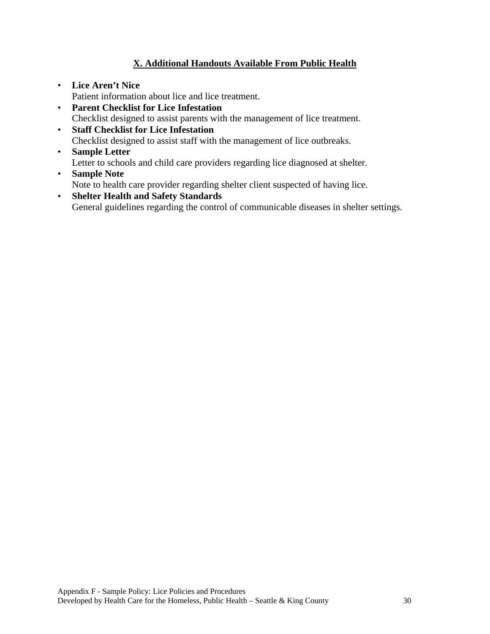## **X. Additional Handouts Available From Public Health**

- **Lice Aren't Nice** Patient information about lice and lice treatment.
- **Parent Checklist for Lice Infestation** Checklist designed to assist parents with the management of lice treatment.
- **Staff Checklist for Lice Infestation** Checklist designed to assist staff with the management of lice outbreaks.
- **Sample Letter** Letter to schools and child care providers regarding lice diagnosed at shelter.
- **Sample Note** Note to health care provider regarding shelter client suspected of having lice.
- **Shelter Health and Safety Standards** General guidelines regarding the control of communicable diseases in shelter settings.